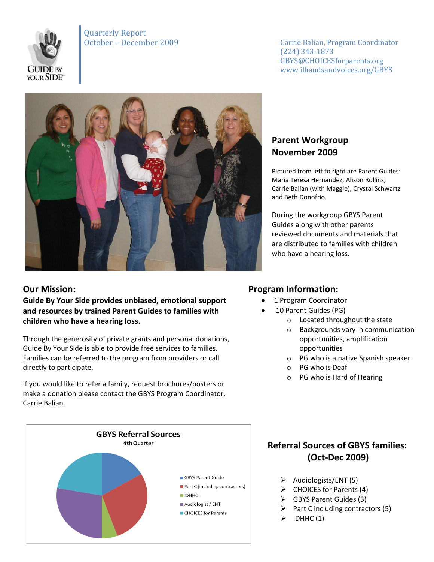

Quarterly Report

October – December 2009 Carrie Balian, Program Coordinator (224) 343-1873 GBYS@CHOICESforparents.org www.ilhandsandvoices.org/GBYS



### **Our Mission:**

**Guide By Your Side provides unbiased, emotional support and resources by trained Parent Guides to families with children who have a hearing loss.** 

Through the generosity of private grants and personal donations, Guide By Your Side is able to provide free services to families. Families can be referred to the program from providers or call directly to participate.

If you would like to refer a family, request brochures/posters or make a donation please contact the GBYS Program Coordinator, Carrie Balian.



## **Parent Workgroup November 2009**

Pictured from left to right are Parent Guides: Maria Teresa Hernandez, Alison Rollins, Carrie Balian (with Maggie), Crystal Schwartz and Beth Donofrio.

During the workgroup GBYS Parent Guides along with other parents reviewed documents and materials that are distributed to families with children who have a hearing loss.

## **Program Information:**

- 1 Program Coordinator
- 10 Parent Guides (PG)
	- o Located throughout the state
	- o Backgrounds vary in communication opportunities, amplification opportunities
	- o PG who is a native Spanish speaker
	- o PG who is Deaf
	- o PG who is Hard of Hearing

# **Referral Sources of GBYS families: (Oct-Dec 2009)**

- $\triangleright$  Audiologists/ENT (5)
- $\triangleright$  CHOICES for Parents (4)
- $\triangleright$  GBYS Parent Guides (3)
- $\triangleright$  Part C including contractors (5)
- $\triangleright$  IDHHC (1)